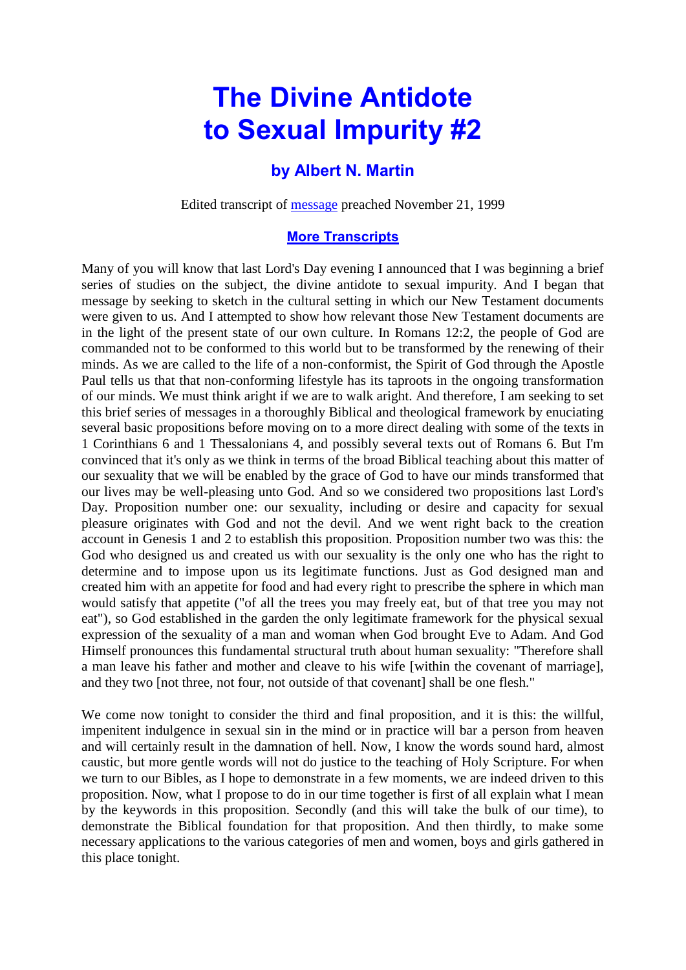## **The Divine Antidote to Sexual Impurity #2**

## **by Albert N. Martin**

Edited transcript of [message](http://www.sg-audiotreasures.org/datsi/02am_datsi.mp3) preached November 21, 1999

## **[More Transcripts](https://www.sg-audiotreasures.org/amtranscripts/am.htm)**

Many of you will know that last Lord's Day evening I announced that I was beginning a brief series of studies on the subject, the divine antidote to sexual impurity. And I began that message by seeking to sketch in the cultural setting in which our New Testament documents were given to us. And I attempted to show how relevant those New Testament documents are in the light of the present state of our own culture. In Romans 12:2, the people of God are commanded not to be conformed to this world but to be transformed by the renewing of their minds. As we are called to the life of a non-conformist, the Spirit of God through the Apostle Paul tells us that that non-conforming lifestyle has its taproots in the ongoing transformation of our minds. We must think aright if we are to walk aright. And therefore, I am seeking to set this brief series of messages in a thoroughly Biblical and theological framework by enuciating several basic propositions before moving on to a more direct dealing with some of the texts in 1 Corinthians 6 and 1 Thessalonians 4, and possibly several texts out of Romans 6. But I'm convinced that it's only as we think in terms of the broad Biblical teaching about this matter of our sexuality that we will be enabled by the grace of God to have our minds transformed that our lives may be well-pleasing unto God. And so we considered two propositions last Lord's Day. Proposition number one: our sexuality, including or desire and capacity for sexual pleasure originates with God and not the devil. And we went right back to the creation account in Genesis 1 and 2 to establish this proposition. Proposition number two was this: the God who designed us and created us with our sexuality is the only one who has the right to determine and to impose upon us its legitimate functions. Just as God designed man and created him with an appetite for food and had every right to prescribe the sphere in which man would satisfy that appetite ("of all the trees you may freely eat, but of that tree you may not eat"), so God established in the garden the only legitimate framework for the physical sexual expression of the sexuality of a man and woman when God brought Eve to Adam. And God Himself pronounces this fundamental structural truth about human sexuality: "Therefore shall a man leave his father and mother and cleave to his wife [within the covenant of marriage], and they two [not three, not four, not outside of that covenant] shall be one flesh."

We come now tonight to consider the third and final proposition, and it is this: the willful, impenitent indulgence in sexual sin in the mind or in practice will bar a person from heaven and will certainly result in the damnation of hell. Now, I know the words sound hard, almost caustic, but more gentle words will not do justice to the teaching of Holy Scripture. For when we turn to our Bibles, as I hope to demonstrate in a few moments, we are indeed driven to this proposition. Now, what I propose to do in our time together is first of all explain what I mean by the keywords in this proposition. Secondly (and this will take the bulk of our time), to demonstrate the Biblical foundation for that proposition. And then thirdly, to make some necessary applications to the various categories of men and women, boys and girls gathered in this place tonight.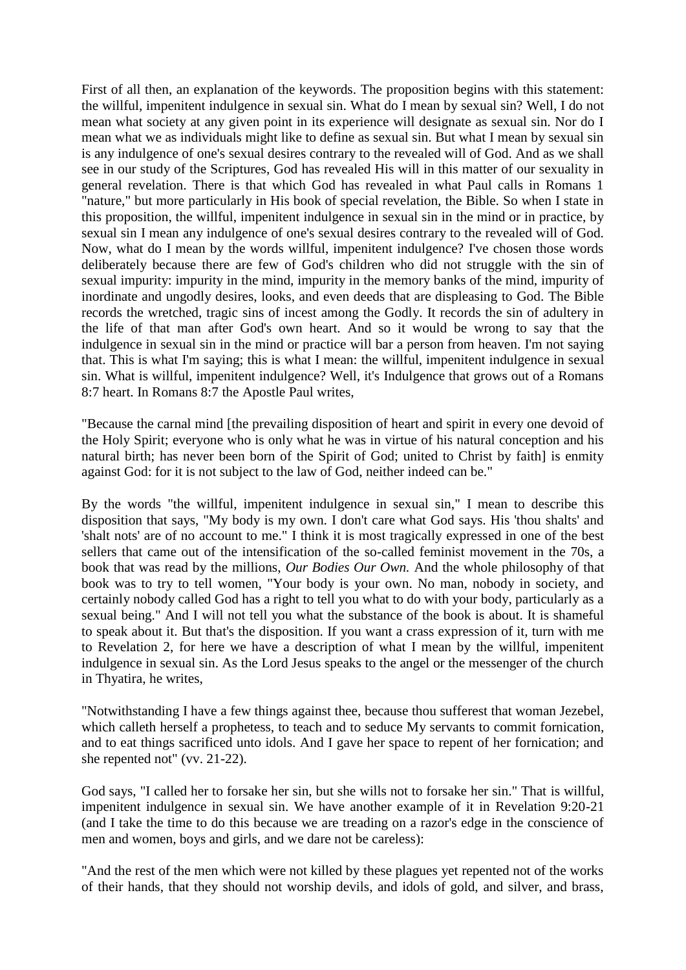First of all then, an explanation of the keywords. The proposition begins with this statement: the willful, impenitent indulgence in sexual sin. What do I mean by sexual sin? Well, I do not mean what society at any given point in its experience will designate as sexual sin. Nor do I mean what we as individuals might like to define as sexual sin. But what I mean by sexual sin is any indulgence of one's sexual desires contrary to the revealed will of God. And as we shall see in our study of the Scriptures, God has revealed His will in this matter of our sexuality in general revelation. There is that which God has revealed in what Paul calls in Romans 1 "nature," but more particularly in His book of special revelation, the Bible. So when I state in this proposition, the willful, impenitent indulgence in sexual sin in the mind or in practice, by sexual sin I mean any indulgence of one's sexual desires contrary to the revealed will of God. Now, what do I mean by the words willful, impenitent indulgence? I've chosen those words deliberately because there are few of God's children who did not struggle with the sin of sexual impurity: impurity in the mind, impurity in the memory banks of the mind, impurity of inordinate and ungodly desires, looks, and even deeds that are displeasing to God. The Bible records the wretched, tragic sins of incest among the Godly. It records the sin of adultery in the life of that man after God's own heart. And so it would be wrong to say that the indulgence in sexual sin in the mind or practice will bar a person from heaven. I'm not saying that. This is what I'm saying; this is what I mean: the willful, impenitent indulgence in sexual sin. What is willful, impenitent indulgence? Well, it's Indulgence that grows out of a Romans 8:7 heart. In Romans 8:7 the Apostle Paul writes,

"Because the carnal mind [the prevailing disposition of heart and spirit in every one devoid of the Holy Spirit; everyone who is only what he was in virtue of his natural conception and his natural birth; has never been born of the Spirit of God; united to Christ by faith] is enmity against God: for it is not subject to the law of God, neither indeed can be."

By the words "the willful, impenitent indulgence in sexual sin," I mean to describe this disposition that says, "My body is my own. I don't care what God says. His 'thou shalts' and 'shalt nots' are of no account to me." I think it is most tragically expressed in one of the best sellers that came out of the intensification of the so-called feminist movement in the 70s, a book that was read by the millions, *Our Bodies Our Own.* And the whole philosophy of that book was to try to tell women, "Your body is your own. No man, nobody in society, and certainly nobody called God has a right to tell you what to do with your body, particularly as a sexual being." And I will not tell you what the substance of the book is about. It is shameful to speak about it. But that's the disposition. If you want a crass expression of it, turn with me to Revelation 2, for here we have a description of what I mean by the willful, impenitent indulgence in sexual sin. As the Lord Jesus speaks to the angel or the messenger of the church in Thyatira, he writes,

"Notwithstanding I have a few things against thee, because thou sufferest that woman Jezebel, which calleth herself a prophetess, to teach and to seduce My servants to commit fornication, and to eat things sacrificed unto idols. And I gave her space to repent of her fornication; and she repented not" (vv. 21-22).

God says, "I called her to forsake her sin, but she wills not to forsake her sin." That is willful, impenitent indulgence in sexual sin. We have another example of it in Revelation 9:20-21 (and I take the time to do this because we are treading on a razor's edge in the conscience of men and women, boys and girls, and we dare not be careless):

"And the rest of the men which were not killed by these plagues yet repented not of the works of their hands, that they should not worship devils, and idols of gold, and silver, and brass,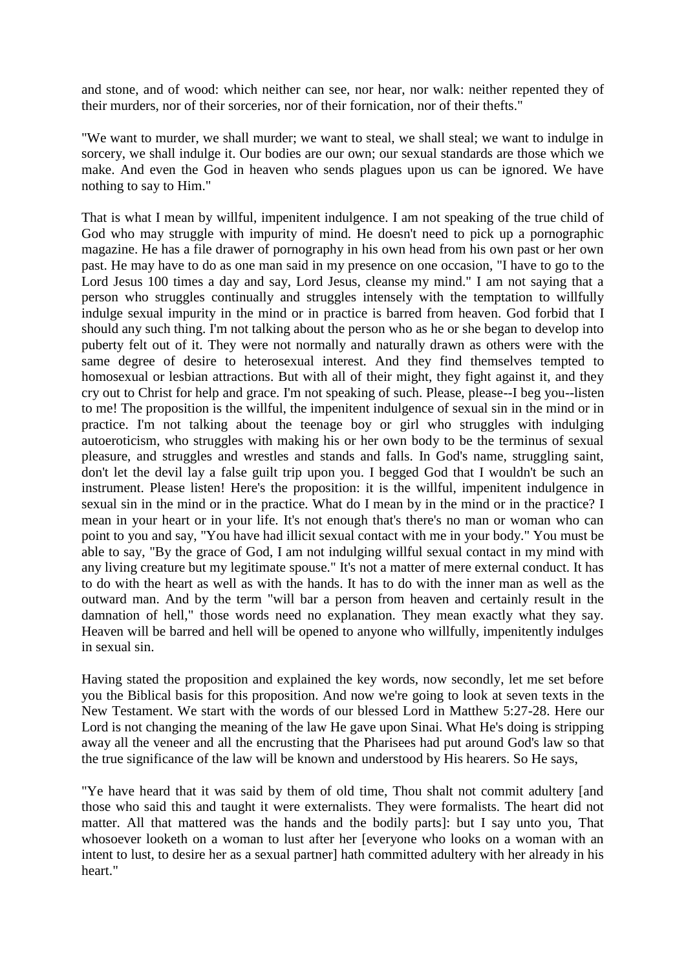and stone, and of wood: which neither can see, nor hear, nor walk: neither repented they of their murders, nor of their sorceries, nor of their fornication, nor of their thefts."

"We want to murder, we shall murder; we want to steal, we shall steal; we want to indulge in sorcery, we shall indulge it. Our bodies are our own; our sexual standards are those which we make. And even the God in heaven who sends plagues upon us can be ignored. We have nothing to say to Him."

That is what I mean by willful, impenitent indulgence. I am not speaking of the true child of God who may struggle with impurity of mind. He doesn't need to pick up a pornographic magazine. He has a file drawer of pornography in his own head from his own past or her own past. He may have to do as one man said in my presence on one occasion, "I have to go to the Lord Jesus 100 times a day and say, Lord Jesus, cleanse my mind." I am not saying that a person who struggles continually and struggles intensely with the temptation to willfully indulge sexual impurity in the mind or in practice is barred from heaven. God forbid that I should any such thing. I'm not talking about the person who as he or she began to develop into puberty felt out of it. They were not normally and naturally drawn as others were with the same degree of desire to heterosexual interest. And they find themselves tempted to homosexual or lesbian attractions. But with all of their might, they fight against it, and they cry out to Christ for help and grace. I'm not speaking of such. Please, please--I beg you--listen to me! The proposition is the willful, the impenitent indulgence of sexual sin in the mind or in practice. I'm not talking about the teenage boy or girl who struggles with indulging autoeroticism, who struggles with making his or her own body to be the terminus of sexual pleasure, and struggles and wrestles and stands and falls. In God's name, struggling saint, don't let the devil lay a false guilt trip upon you. I begged God that I wouldn't be such an instrument. Please listen! Here's the proposition: it is the willful, impenitent indulgence in sexual sin in the mind or in the practice. What do I mean by in the mind or in the practice? I mean in your heart or in your life. It's not enough that's there's no man or woman who can point to you and say, "You have had illicit sexual contact with me in your body." You must be able to say, "By the grace of God, I am not indulging willful sexual contact in my mind with any living creature but my legitimate spouse." It's not a matter of mere external conduct. It has to do with the heart as well as with the hands. It has to do with the inner man as well as the outward man. And by the term "will bar a person from heaven and certainly result in the damnation of hell," those words need no explanation. They mean exactly what they say. Heaven will be barred and hell will be opened to anyone who willfully, impenitently indulges in sexual sin.

Having stated the proposition and explained the key words, now secondly, let me set before you the Biblical basis for this proposition. And now we're going to look at seven texts in the New Testament. We start with the words of our blessed Lord in Matthew 5:27-28. Here our Lord is not changing the meaning of the law He gave upon Sinai. What He's doing is stripping away all the veneer and all the encrusting that the Pharisees had put around God's law so that the true significance of the law will be known and understood by His hearers. So He says,

"Ye have heard that it was said by them of old time, Thou shalt not commit adultery [and those who said this and taught it were externalists. They were formalists. The heart did not matter. All that mattered was the hands and the bodily parts]: but I say unto you, That whosoever looketh on a woman to lust after her [everyone who looks on a woman with an intent to lust, to desire her as a sexual partner] hath committed adultery with her already in his heart."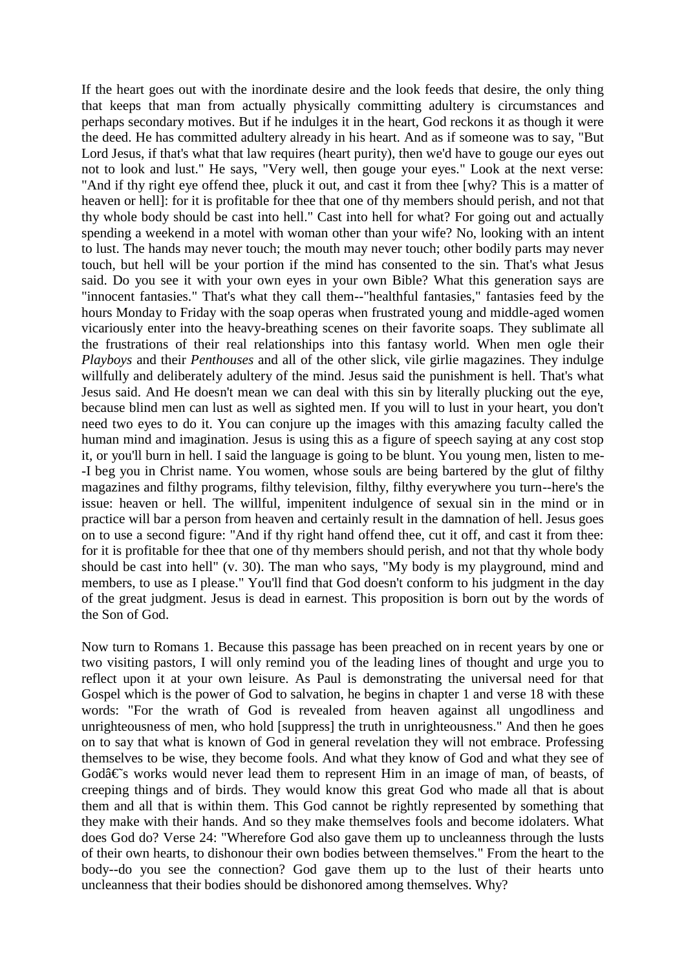If the heart goes out with the inordinate desire and the look feeds that desire, the only thing that keeps that man from actually physically committing adultery is circumstances and perhaps secondary motives. But if he indulges it in the heart, God reckons it as though it were the deed. He has committed adultery already in his heart. And as if someone was to say, "But Lord Jesus, if that's what that law requires (heart purity), then we'd have to gouge our eyes out not to look and lust." He says, "Very well, then gouge your eyes." Look at the next verse: "And if thy right eye offend thee, pluck it out, and cast it from thee [why? This is a matter of heaven or hell]: for it is profitable for thee that one of thy members should perish, and not that thy whole body should be cast into hell." Cast into hell for what? For going out and actually spending a weekend in a motel with woman other than your wife? No, looking with an intent to lust. The hands may never touch; the mouth may never touch; other bodily parts may never touch, but hell will be your portion if the mind has consented to the sin. That's what Jesus said. Do you see it with your own eyes in your own Bible? What this generation says are "innocent fantasies." That's what they call them--"healthful fantasies," fantasies feed by the hours Monday to Friday with the soap operas when frustrated young and middle-aged women vicariously enter into the heavy-breathing scenes on their favorite soaps. They sublimate all the frustrations of their real relationships into this fantasy world. When men ogle their *Playboys* and their *Penthouses* and all of the other slick, vile girlie magazines. They indulge willfully and deliberately adultery of the mind. Jesus said the punishment is hell. That's what Jesus said. And He doesn't mean we can deal with this sin by literally plucking out the eye, because blind men can lust as well as sighted men. If you will to lust in your heart, you don't need two eyes to do it. You can conjure up the images with this amazing faculty called the human mind and imagination. Jesus is using this as a figure of speech saying at any cost stop it, or you'll burn in hell. I said the language is going to be blunt. You young men, listen to me- -I beg you in Christ name. You women, whose souls are being bartered by the glut of filthy magazines and filthy programs, filthy television, filthy, filthy everywhere you turn--here's the issue: heaven or hell. The willful, impenitent indulgence of sexual sin in the mind or in practice will bar a person from heaven and certainly result in the damnation of hell. Jesus goes on to use a second figure: "And if thy right hand offend thee, cut it off, and cast it from thee: for it is profitable for thee that one of thy members should perish, and not that thy whole body should be cast into hell" (v. 30). The man who says, "My body is my playground, mind and members, to use as I please." You'll find that God doesn't conform to his judgment in the day of the great judgment. Jesus is dead in earnest. This proposition is born out by the words of the Son of God.

Now turn to Romans 1. Because this passage has been preached on in recent years by one or two visiting pastors, I will only remind you of the leading lines of thought and urge you to reflect upon it at your own leisure. As Paul is demonstrating the universal need for that Gospel which is the power of God to salvation, he begins in chapter 1 and verse 18 with these words: "For the wrath of God is revealed from heaven against all ungodliness and unrighteousness of men, who hold [suppress] the truth in unrighteousness." And then he goes on to say that what is known of God in general revelation they will not embrace. Professing themselves to be wise, they become fools. And what they know of God and what they see of  $G$ od $\hat{\alpha} \in S$  works would never lead them to represent Him in an image of man, of beasts, of creeping things and of birds. They would know this great God who made all that is about them and all that is within them. This God cannot be rightly represented by something that they make with their hands. And so they make themselves fools and become idolaters. What does God do? Verse 24: "Wherefore God also gave them up to uncleanness through the lusts of their own hearts, to dishonour their own bodies between themselves." From the heart to the body--do you see the connection? God gave them up to the lust of their hearts unto uncleanness that their bodies should be dishonored among themselves. Why?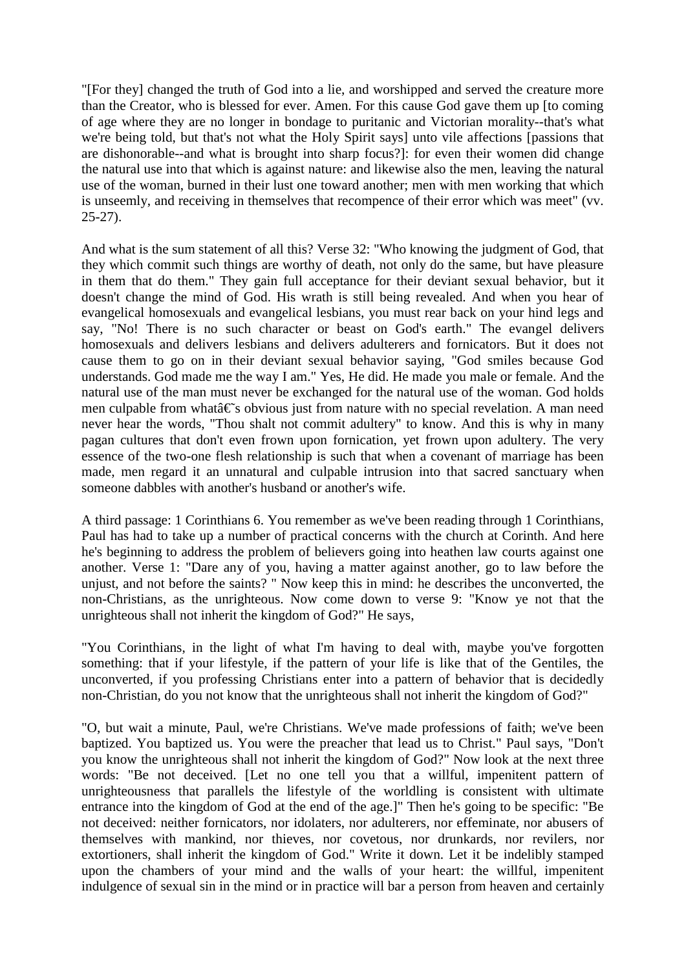"[For they] changed the truth of God into a lie, and worshipped and served the creature more than the Creator, who is blessed for ever. Amen. For this cause God gave them up [to coming of age where they are no longer in bondage to puritanic and Victorian morality--that's what we're being told, but that's not what the Holy Spirit says] unto vile affections [passions that are dishonorable--and what is brought into sharp focus?]: for even their women did change the natural use into that which is against nature: and likewise also the men, leaving the natural use of the woman, burned in their lust one toward another; men with men working that which is unseemly, and receiving in themselves that recompence of their error which was meet" (vv. 25-27).

And what is the sum statement of all this? Verse 32: "Who knowing the judgment of God, that they which commit such things are worthy of death, not only do the same, but have pleasure in them that do them." They gain full acceptance for their deviant sexual behavior, but it doesn't change the mind of God. His wrath is still being revealed. And when you hear of evangelical homosexuals and evangelical lesbians, you must rear back on your hind legs and say, "No! There is no such character or beast on God's earth." The evangel delivers homosexuals and delivers lesbians and delivers adulterers and fornicators. But it does not cause them to go on in their deviant sexual behavior saying, "God smiles because God understands. God made me the way I am." Yes, He did. He made you male or female. And the natural use of the man must never be exchanged for the natural use of the woman. God holds men culpable from what $\hat{a} \in \hat{S}$  obvious just from nature with no special revelation. A man need never hear the words, "Thou shalt not commit adultery" to know. And this is why in many pagan cultures that don't even frown upon fornication, yet frown upon adultery. The very essence of the two-one flesh relationship is such that when a covenant of marriage has been made, men regard it an unnatural and culpable intrusion into that sacred sanctuary when someone dabbles with another's husband or another's wife.

A third passage: 1 Corinthians 6. You remember as we've been reading through 1 Corinthians, Paul has had to take up a number of practical concerns with the church at Corinth. And here he's beginning to address the problem of believers going into heathen law courts against one another. Verse 1: "Dare any of you, having a matter against another, go to law before the unjust, and not before the saints? " Now keep this in mind: he describes the unconverted, the non-Christians, as the unrighteous. Now come down to verse 9: "Know ye not that the unrighteous shall not inherit the kingdom of God?" He says,

"You Corinthians, in the light of what I'm having to deal with, maybe you've forgotten something: that if your lifestyle, if the pattern of your life is like that of the Gentiles, the unconverted, if you professing Christians enter into a pattern of behavior that is decidedly non-Christian, do you not know that the unrighteous shall not inherit the kingdom of God?"

"O, but wait a minute, Paul, we're Christians. We've made professions of faith; we've been baptized. You baptized us. You were the preacher that lead us to Christ." Paul says, "Don't you know the unrighteous shall not inherit the kingdom of God?" Now look at the next three words: "Be not deceived. [Let no one tell you that a willful, impenitent pattern of unrighteousness that parallels the lifestyle of the worldling is consistent with ultimate entrance into the kingdom of God at the end of the age.]" Then he's going to be specific: "Be not deceived: neither fornicators, nor idolaters, nor adulterers, nor effeminate, nor abusers of themselves with mankind, nor thieves, nor covetous, nor drunkards, nor revilers, nor extortioners, shall inherit the kingdom of God." Write it down. Let it be indelibly stamped upon the chambers of your mind and the walls of your heart: the willful, impenitent indulgence of sexual sin in the mind or in practice will bar a person from heaven and certainly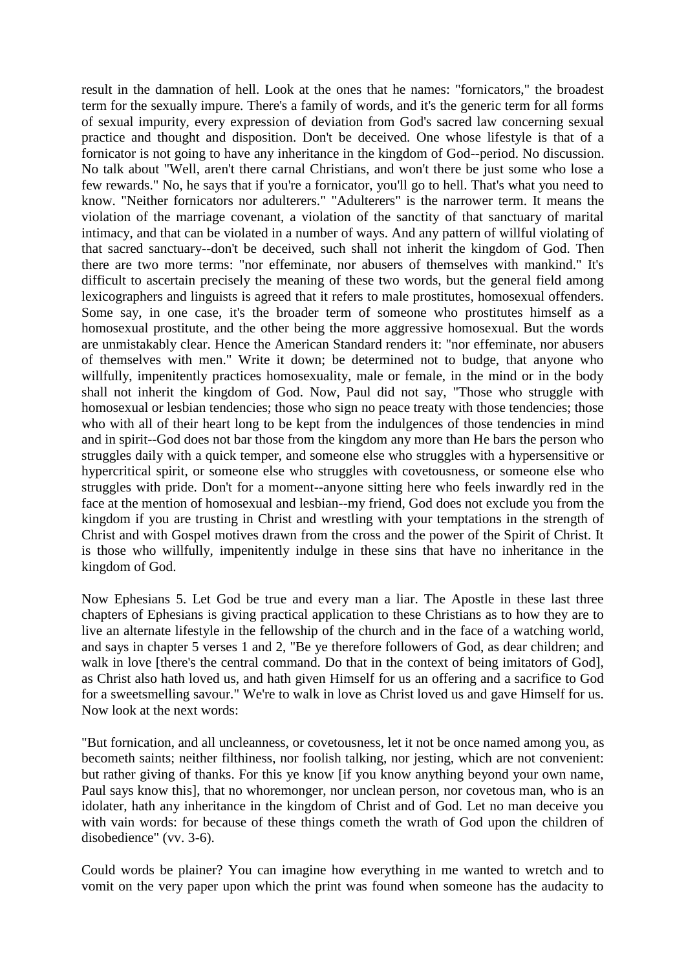result in the damnation of hell. Look at the ones that he names: "fornicators," the broadest term for the sexually impure. There's a family of words, and it's the generic term for all forms of sexual impurity, every expression of deviation from God's sacred law concerning sexual practice and thought and disposition. Don't be deceived. One whose lifestyle is that of a fornicator is not going to have any inheritance in the kingdom of God--period. No discussion. No talk about "Well, aren't there carnal Christians, and won't there be just some who lose a few rewards." No, he says that if you're a fornicator, you'll go to hell. That's what you need to know. "Neither fornicators nor adulterers." "Adulterers" is the narrower term. It means the violation of the marriage covenant, a violation of the sanctity of that sanctuary of marital intimacy, and that can be violated in a number of ways. And any pattern of willful violating of that sacred sanctuary--don't be deceived, such shall not inherit the kingdom of God. Then there are two more terms: "nor effeminate, nor abusers of themselves with mankind." It's difficult to ascertain precisely the meaning of these two words, but the general field among lexicographers and linguists is agreed that it refers to male prostitutes, homosexual offenders. Some say, in one case, it's the broader term of someone who prostitutes himself as a homosexual prostitute, and the other being the more aggressive homosexual. But the words are unmistakably clear. Hence the American Standard renders it: "nor effeminate, nor abusers of themselves with men." Write it down; be determined not to budge, that anyone who willfully, impenitently practices homosexuality, male or female, in the mind or in the body shall not inherit the kingdom of God. Now, Paul did not say, "Those who struggle with homosexual or lesbian tendencies; those who sign no peace treaty with those tendencies; those who with all of their heart long to be kept from the indulgences of those tendencies in mind and in spirit--God does not bar those from the kingdom any more than He bars the person who struggles daily with a quick temper, and someone else who struggles with a hypersensitive or hypercritical spirit, or someone else who struggles with covetousness, or someone else who struggles with pride. Don't for a moment--anyone sitting here who feels inwardly red in the face at the mention of homosexual and lesbian--my friend, God does not exclude you from the kingdom if you are trusting in Christ and wrestling with your temptations in the strength of Christ and with Gospel motives drawn from the cross and the power of the Spirit of Christ. It is those who willfully, impenitently indulge in these sins that have no inheritance in the kingdom of God.

Now Ephesians 5. Let God be true and every man a liar. The Apostle in these last three chapters of Ephesians is giving practical application to these Christians as to how they are to live an alternate lifestyle in the fellowship of the church and in the face of a watching world, and says in chapter 5 verses 1 and 2, "Be ye therefore followers of God, as dear children; and walk in love [there's the central command. Do that in the context of being imitators of God], as Christ also hath loved us, and hath given Himself for us an offering and a sacrifice to God for a sweetsmelling savour." We're to walk in love as Christ loved us and gave Himself for us. Now look at the next words:

"But fornication, and all uncleanness, or covetousness, let it not be once named among you, as becometh saints; neither filthiness, nor foolish talking, nor jesting, which are not convenient: but rather giving of thanks. For this ye know [if you know anything beyond your own name, Paul says know this], that no whoremonger, nor unclean person, nor covetous man, who is an idolater, hath any inheritance in the kingdom of Christ and of God. Let no man deceive you with vain words: for because of these things cometh the wrath of God upon the children of disobedience" (vv. 3-6).

Could words be plainer? You can imagine how everything in me wanted to wretch and to vomit on the very paper upon which the print was found when someone has the audacity to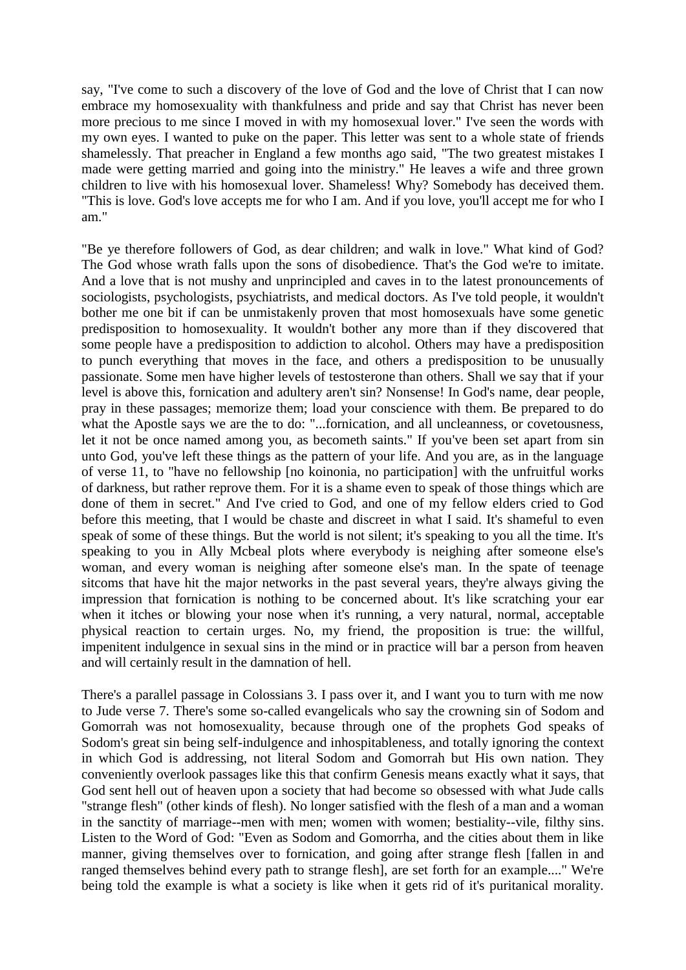say, "I've come to such a discovery of the love of God and the love of Christ that I can now embrace my homosexuality with thankfulness and pride and say that Christ has never been more precious to me since I moved in with my homosexual lover." I've seen the words with my own eyes. I wanted to puke on the paper. This letter was sent to a whole state of friends shamelessly. That preacher in England a few months ago said, "The two greatest mistakes I made were getting married and going into the ministry." He leaves a wife and three grown children to live with his homosexual lover. Shameless! Why? Somebody has deceived them. "This is love. God's love accepts me for who I am. And if you love, you'll accept me for who I am."

"Be ye therefore followers of God, as dear children; and walk in love." What kind of God? The God whose wrath falls upon the sons of disobedience. That's the God we're to imitate. And a love that is not mushy and unprincipled and caves in to the latest pronouncements of sociologists, psychologists, psychiatrists, and medical doctors. As I've told people, it wouldn't bother me one bit if can be unmistakenly proven that most homosexuals have some genetic predisposition to homosexuality. It wouldn't bother any more than if they discovered that some people have a predisposition to addiction to alcohol. Others may have a predisposition to punch everything that moves in the face, and others a predisposition to be unusually passionate. Some men have higher levels of testosterone than others. Shall we say that if your level is above this, fornication and adultery aren't sin? Nonsense! In God's name, dear people, pray in these passages; memorize them; load your conscience with them. Be prepared to do what the Apostle says we are the to do: "...fornication, and all uncleanness, or covetousness, let it not be once named among you, as becometh saints." If you've been set apart from sin unto God, you've left these things as the pattern of your life. And you are, as in the language of verse 11, to "have no fellowship [no koinonia, no participation] with the unfruitful works of darkness, but rather reprove them. For it is a shame even to speak of those things which are done of them in secret." And I've cried to God, and one of my fellow elders cried to God before this meeting, that I would be chaste and discreet in what I said. It's shameful to even speak of some of these things. But the world is not silent; it's speaking to you all the time. It's speaking to you in Ally Mcbeal plots where everybody is neighing after someone else's woman, and every woman is neighing after someone else's man. In the spate of teenage sitcoms that have hit the major networks in the past several years, they're always giving the impression that fornication is nothing to be concerned about. It's like scratching your ear when it itches or blowing your nose when it's running, a very natural, normal, acceptable physical reaction to certain urges. No, my friend, the proposition is true: the willful, impenitent indulgence in sexual sins in the mind or in practice will bar a person from heaven and will certainly result in the damnation of hell.

There's a parallel passage in Colossians 3. I pass over it, and I want you to turn with me now to Jude verse 7. There's some so-called evangelicals who say the crowning sin of Sodom and Gomorrah was not homosexuality, because through one of the prophets God speaks of Sodom's great sin being self-indulgence and inhospitableness, and totally ignoring the context in which God is addressing, not literal Sodom and Gomorrah but His own nation. They conveniently overlook passages like this that confirm Genesis means exactly what it says, that God sent hell out of heaven upon a society that had become so obsessed with what Jude calls "strange flesh" (other kinds of flesh). No longer satisfied with the flesh of a man and a woman in the sanctity of marriage--men with men; women with women; bestiality--vile, filthy sins. Listen to the Word of God: "Even as Sodom and Gomorrha, and the cities about them in like manner, giving themselves over to fornication, and going after strange flesh [fallen in and ranged themselves behind every path to strange flesh], are set forth for an example...." We're being told the example is what a society is like when it gets rid of it's puritanical morality.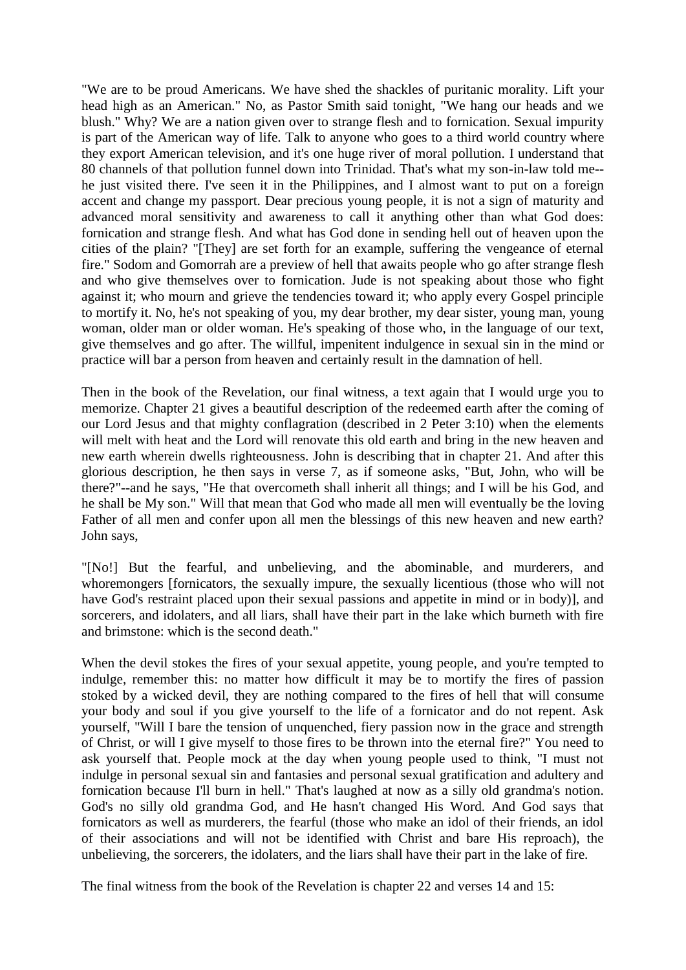"We are to be proud Americans. We have shed the shackles of puritanic morality. Lift your head high as an American." No, as Pastor Smith said tonight, "We hang our heads and we blush." Why? We are a nation given over to strange flesh and to fornication. Sexual impurity is part of the American way of life. Talk to anyone who goes to a third world country where they export American television, and it's one huge river of moral pollution. I understand that 80 channels of that pollution funnel down into Trinidad. That's what my son-in-law told me- he just visited there. I've seen it in the Philippines, and I almost want to put on a foreign accent and change my passport. Dear precious young people, it is not a sign of maturity and advanced moral sensitivity and awareness to call it anything other than what God does: fornication and strange flesh. And what has God done in sending hell out of heaven upon the cities of the plain? "[They] are set forth for an example, suffering the vengeance of eternal fire." Sodom and Gomorrah are a preview of hell that awaits people who go after strange flesh and who give themselves over to fornication. Jude is not speaking about those who fight against it; who mourn and grieve the tendencies toward it; who apply every Gospel principle to mortify it. No, he's not speaking of you, my dear brother, my dear sister, young man, young woman, older man or older woman. He's speaking of those who, in the language of our text, give themselves and go after. The willful, impenitent indulgence in sexual sin in the mind or practice will bar a person from heaven and certainly result in the damnation of hell.

Then in the book of the Revelation, our final witness, a text again that I would urge you to memorize. Chapter 21 gives a beautiful description of the redeemed earth after the coming of our Lord Jesus and that mighty conflagration (described in 2 Peter 3:10) when the elements will melt with heat and the Lord will renovate this old earth and bring in the new heaven and new earth wherein dwells righteousness. John is describing that in chapter 21. And after this glorious description, he then says in verse 7, as if someone asks, "But, John, who will be there?"--and he says, "He that overcometh shall inherit all things; and I will be his God, and he shall be My son." Will that mean that God who made all men will eventually be the loving Father of all men and confer upon all men the blessings of this new heaven and new earth? John says,

"[No!] But the fearful, and unbelieving, and the abominable, and murderers, and whoremongers [fornicators, the sexually impure, the sexually licentious (those who will not have God's restraint placed upon their sexual passions and appetite in mind or in body)], and sorcerers, and idolaters, and all liars, shall have their part in the lake which burneth with fire and brimstone: which is the second death."

When the devil stokes the fires of your sexual appetite, young people, and you're tempted to indulge, remember this: no matter how difficult it may be to mortify the fires of passion stoked by a wicked devil, they are nothing compared to the fires of hell that will consume your body and soul if you give yourself to the life of a fornicator and do not repent. Ask yourself, "Will I bare the tension of unquenched, fiery passion now in the grace and strength of Christ, or will I give myself to those fires to be thrown into the eternal fire?" You need to ask yourself that. People mock at the day when young people used to think, "I must not indulge in personal sexual sin and fantasies and personal sexual gratification and adultery and fornication because I'll burn in hell." That's laughed at now as a silly old grandma's notion. God's no silly old grandma God, and He hasn't changed His Word. And God says that fornicators as well as murderers, the fearful (those who make an idol of their friends, an idol of their associations and will not be identified with Christ and bare His reproach), the unbelieving, the sorcerers, the idolaters, and the liars shall have their part in the lake of fire.

The final witness from the book of the Revelation is chapter 22 and verses 14 and 15: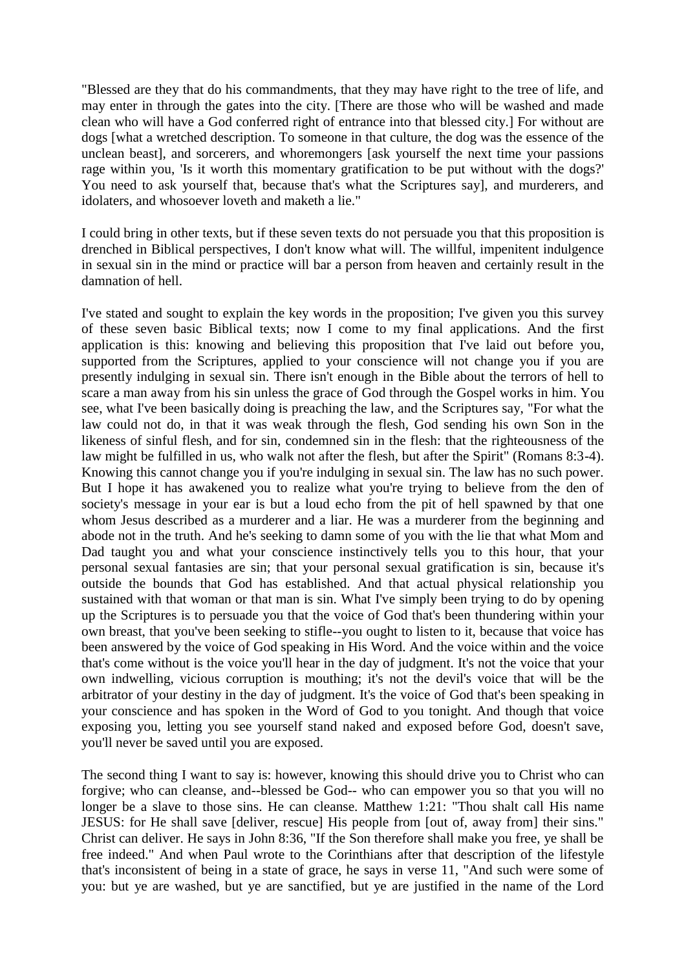"Blessed are they that do his commandments, that they may have right to the tree of life, and may enter in through the gates into the city. [There are those who will be washed and made clean who will have a God conferred right of entrance into that blessed city.] For without are dogs [what a wretched description. To someone in that culture, the dog was the essence of the unclean beast], and sorcerers, and whoremongers [ask yourself the next time your passions rage within you, 'Is it worth this momentary gratification to be put without with the dogs?' You need to ask yourself that, because that's what the Scriptures say], and murderers, and idolaters, and whosoever loveth and maketh a lie."

I could bring in other texts, but if these seven texts do not persuade you that this proposition is drenched in Biblical perspectives, I don't know what will. The willful, impenitent indulgence in sexual sin in the mind or practice will bar a person from heaven and certainly result in the damnation of hell.

I've stated and sought to explain the key words in the proposition; I've given you this survey of these seven basic Biblical texts; now I come to my final applications. And the first application is this: knowing and believing this proposition that I've laid out before you, supported from the Scriptures, applied to your conscience will not change you if you are presently indulging in sexual sin. There isn't enough in the Bible about the terrors of hell to scare a man away from his sin unless the grace of God through the Gospel works in him. You see, what I've been basically doing is preaching the law, and the Scriptures say, "For what the law could not do, in that it was weak through the flesh, God sending his own Son in the likeness of sinful flesh, and for sin, condemned sin in the flesh: that the righteousness of the law might be fulfilled in us, who walk not after the flesh, but after the Spirit" (Romans 8:3-4). Knowing this cannot change you if you're indulging in sexual sin. The law has no such power. But I hope it has awakened you to realize what you're trying to believe from the den of society's message in your ear is but a loud echo from the pit of hell spawned by that one whom Jesus described as a murderer and a liar. He was a murderer from the beginning and abode not in the truth. And he's seeking to damn some of you with the lie that what Mom and Dad taught you and what your conscience instinctively tells you to this hour, that your personal sexual fantasies are sin; that your personal sexual gratification is sin, because it's outside the bounds that God has established. And that actual physical relationship you sustained with that woman or that man is sin. What I've simply been trying to do by opening up the Scriptures is to persuade you that the voice of God that's been thundering within your own breast, that you've been seeking to stifle--you ought to listen to it, because that voice has been answered by the voice of God speaking in His Word. And the voice within and the voice that's come without is the voice you'll hear in the day of judgment. It's not the voice that your own indwelling, vicious corruption is mouthing; it's not the devil's voice that will be the arbitrator of your destiny in the day of judgment. It's the voice of God that's been speaking in your conscience and has spoken in the Word of God to you tonight. And though that voice exposing you, letting you see yourself stand naked and exposed before God, doesn't save, you'll never be saved until you are exposed.

The second thing I want to say is: however, knowing this should drive you to Christ who can forgive; who can cleanse, and--blessed be God-- who can empower you so that you will no longer be a slave to those sins. He can cleanse. Matthew 1:21: "Thou shalt call His name JESUS: for He shall save [deliver, rescue] His people from [out of, away from] their sins." Christ can deliver. He says in John 8:36, "If the Son therefore shall make you free, ye shall be free indeed." And when Paul wrote to the Corinthians after that description of the lifestyle that's inconsistent of being in a state of grace, he says in verse 11, "And such were some of you: but ye are washed, but ye are sanctified, but ye are justified in the name of the Lord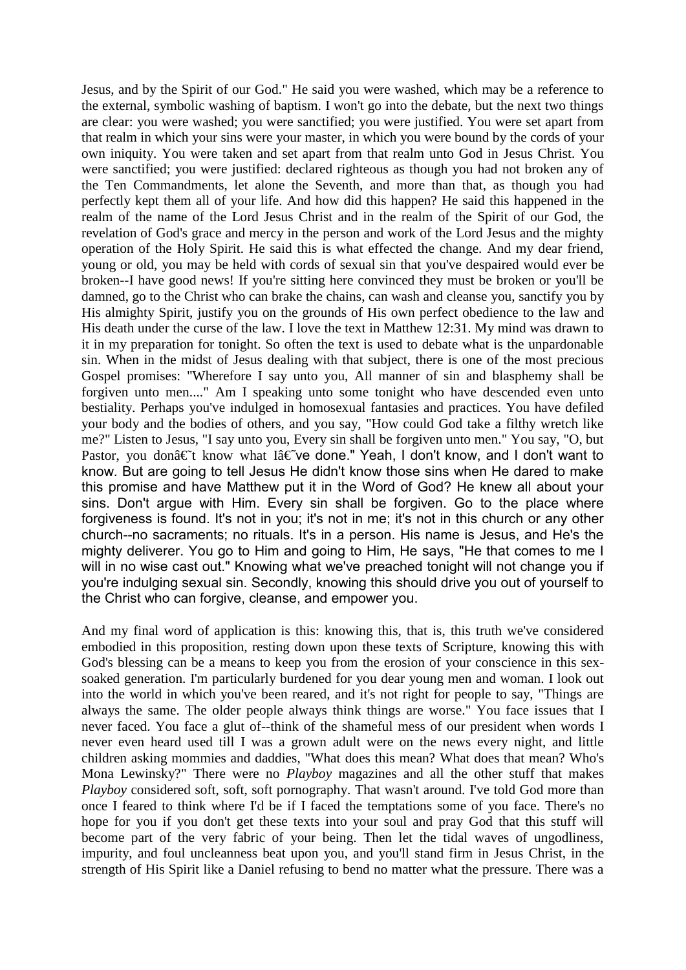Jesus, and by the Spirit of our God." He said you were washed, which may be a reference to the external, symbolic washing of baptism. I won't go into the debate, but the next two things are clear: you were washed; you were sanctified; you were justified. You were set apart from that realm in which your sins were your master, in which you were bound by the cords of your own iniquity. You were taken and set apart from that realm unto God in Jesus Christ. You were sanctified; you were justified: declared righteous as though you had not broken any of the Ten Commandments, let alone the Seventh, and more than that, as though you had perfectly kept them all of your life. And how did this happen? He said this happened in the realm of the name of the Lord Jesus Christ and in the realm of the Spirit of our God, the revelation of God's grace and mercy in the person and work of the Lord Jesus and the mighty operation of the Holy Spirit. He said this is what effected the change. And my dear friend, young or old, you may be held with cords of sexual sin that you've despaired would ever be broken--I have good news! If you're sitting here convinced they must be broken or you'll be damned, go to the Christ who can brake the chains, can wash and cleanse you, sanctify you by His almighty Spirit, justify you on the grounds of His own perfect obedience to the law and His death under the curse of the law. I love the text in Matthew 12:31. My mind was drawn to it in my preparation for tonight. So often the text is used to debate what is the unpardonable sin. When in the midst of Jesus dealing with that subject, there is one of the most precious Gospel promises: "Wherefore I say unto you, All manner of sin and blasphemy shall be forgiven unto men...." Am I speaking unto some tonight who have descended even unto bestiality. Perhaps you've indulged in homosexual fantasies and practices. You have defiled your body and the bodies of others, and you say, "How could God take a filthy wretch like me?" Listen to Jesus, "I say unto you, Every sin shall be forgiven unto men." You say, "O, but Pastor, you don†t know what I†ve done." Yeah, I don't know, and I don't want to know. But are going to tell Jesus He didn't know those sins when He dared to make this promise and have Matthew put it in the Word of God? He knew all about your sins. Don't argue with Him. Every sin shall be forgiven. Go to the place where forgiveness is found. It's not in you; it's not in me; it's not in this church or any other church--no sacraments; no rituals. It's in a person. His name is Jesus, and He's the mighty deliverer. You go to Him and going to Him, He says, "He that comes to me I will in no wise cast out." Knowing what we've preached tonight will not change you if you're indulging sexual sin. Secondly, knowing this should drive you out of yourself to the Christ who can forgive, cleanse, and empower you.

And my final word of application is this: knowing this, that is, this truth we've considered embodied in this proposition, resting down upon these texts of Scripture, knowing this with God's blessing can be a means to keep you from the erosion of your conscience in this sexsoaked generation. I'm particularly burdened for you dear young men and woman. I look out into the world in which you've been reared, and it's not right for people to say, "Things are always the same. The older people always think things are worse." You face issues that I never faced. You face a glut of--think of the shameful mess of our president when words I never even heard used till I was a grown adult were on the news every night, and little children asking mommies and daddies, "What does this mean? What does that mean? Who's Mona Lewinsky?" There were no *Playboy* magazines and all the other stuff that makes *Playboy* considered soft, soft, soft pornography. That wasn't around. I've told God more than once I feared to think where I'd be if I faced the temptations some of you face. There's no hope for you if you don't get these texts into your soul and pray God that this stuff will become part of the very fabric of your being. Then let the tidal waves of ungodliness, impurity, and foul uncleanness beat upon you, and you'll stand firm in Jesus Christ, in the strength of His Spirit like a Daniel refusing to bend no matter what the pressure. There was a